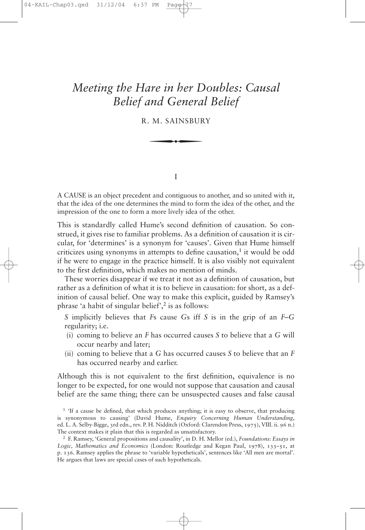# *Meeting the Hare in her Doubles: Causal Belief and General Belief*

# R. M. SAINSBURY M. SAINSBUR

I

A CAUSE is an object precedent and contiguous to another, and so united with it, that the idea of the one determines the mind to form the idea of the other, and the impression of the one to form a more lively idea of the other.

This is standardly called Hume's second definition of causation. So construed, it gives rise to familiar problems. As a definition of causation it is circular, for 'determines' is a synonym for 'causes'. Given that Hume himself criticizes using synonyms in attempts to define causation, $<sup>1</sup>$  it would be odd</sup> if he were to engage in the practice himself. It is also visibly not equivalent to the first definition, which makes no mention of minds.

These worries disappear if we treat it not as a definition of causation, but rather as a definition of what it is to believe in causation: for short, as a definition of causal belief. One way to make this explicit, guided by Ramsey's phrase 'a habit of singular belief', $\frac{2}{3}$  is as follows:

*S* implicitly believes that *F*s cause *G*s iff *S* is in the grip of an *F*–*G* regularity; i.e.

- (i) coming to believe an *F* has occurred causes *S* to believe that a *G* will occur nearby and later;
- (ii) coming to believe that a *G* has occurred causes *S* to believe that an *F* has occurred nearby and earlier.

Although this is not equivalent to the first definition, equivalence is no longer to be expected, for one would not suppose that causation and causal belief are the same thing; there can be unsuspected causes and false causal

<sup>&</sup>lt;sup>1</sup> 'If a cause be defined, that which produces anything; it is easy to observe, that producing is synonymous to causing' (David Hume, *Enquiry Concerning Human Understanding*, ed. L. A. Selby-Bigge, 3rd edn., rev. P. H. Nidditch (Oxford: Clarendon Press, 1975), VIII. ii. 96 n.) The context makes it plain that this is regarded as unsatisfactory.

<sup>2</sup> F. Ramsey, 'General propositions and causality', in D. H. Mellor (ed.), *Foundations: Essays in Logic, Mathematics and Economics* (London: Routledge and Kegan Paul, 1978), 133–51, at p. 136. Ramsey applies the phrase to 'variable hypotheticals', sentences like 'All men are mortal'. He argues that laws are special cases of such hypotheticals.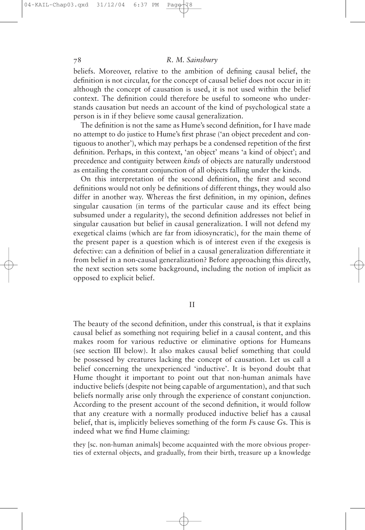beliefs. Moreover, relative to the ambition of defining causal belief, the definition is not circular, for the concept of causal belief does not occur in it: although the concept of causation is used, it is not used within the belief context. The definition could therefore be useful to someone who understands causation but needs an account of the kind of psychological state a person is in if they believe some causal generalization.

The definition is not the same as Hume's second definition, for I have made no attempt to do justice to Hume's first phrase ('an object precedent and contiguous to another'), which may perhaps be a condensed repetition of the first definition. Perhaps, in this context, 'an object' means 'a kind of object'; and precedence and contiguity between *kinds* of objects are naturally understood as entailing the constant conjunction of all objects falling under the kinds.

On this interpretation of the second definition, the first and second definitions would not only be definitions of different things, they would also differ in another way. Whereas the first definition, in my opinion, defines singular causation (in terms of the particular cause and its effect being subsumed under a regularity), the second definition addresses not belief in singular causation but belief in causal generalization. I will not defend my exegetical claims (which are far from idiosyncratic), for the main theme of the present paper is a question which is of interest even if the exegesis is defective: can a definition of belief in a causal generalization differentiate it from belief in a non-causal generalization? Before approaching this directly, the next section sets some background, including the notion of implicit as opposed to explicit belief.

## II

The beauty of the second definition, under this construal, is that it explains causal belief as something not requiring belief in a causal content, and this makes room for various reductive or eliminative options for Humeans (see section III below). It also makes causal belief something that could be possessed by creatures lacking the concept of causation. Let us call a belief concerning the unexperienced 'inductive'. It is beyond doubt that Hume thought it important to point out that non-human animals have inductive beliefs (despite not being capable of argumentation), and that such beliefs normally arise only through the experience of constant conjunction. According to the present account of the second definition, it would follow that any creature with a normally produced inductive belief has a causal belief, that is, implicitly believes something of the form *F*s cause *G*s. This is indeed what we find Hume claiming:

they [sc. non-human animals] become acquainted with the more obvious properties of external objects, and gradually, from their birth, treasure up a knowledge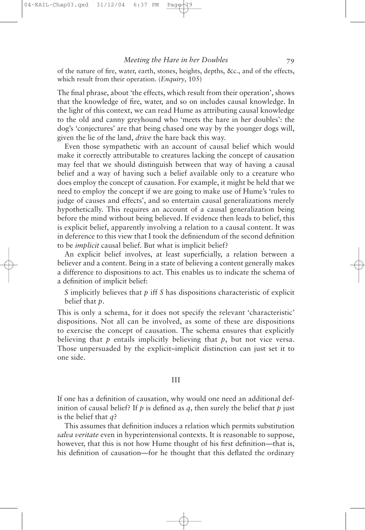of the nature of fire, water, earth, stones, heights, depths, &c., and of the effects, which result from their operation. (*Enquiry*, 105)

The final phrase, about 'the effects, which result from their operation', shows that the knowledge of fire, water, and so on includes causal knowledge. In the light of this context, we can read Hume as attributing causal knowledge to the old and canny greyhound who 'meets the hare in her doubles': the dog's 'conjectures' are that being chased one way by the younger dogs will, given the lie of the land, *drive* the hare back this way.

Even those sympathetic with an account of causal belief which would make it correctly attributable to creatures lacking the concept of causation may feel that we should distinguish between that way of having a causal belief and a way of having such a belief available only to a creature who does employ the concept of causation. For example, it might be held that we need to employ the concept if we are going to make use of Hume's 'rules to judge of causes and effects', and so entertain causal generalizations merely hypothetically. This requires an account of a causal generalization being before the mind without being believed. If evidence then leads to belief, this is explicit belief, apparently involving a relation to a causal content. It was in deference to this view that I took the definiendum of the second definition to be *implicit* causal belief. But what is implicit belief?

An explicit belief involves, at least superficially, a relation between a believer and a content. Being in a state of believing a content generally makes a difference to dispositions to act. This enables us to indicate the schema of a definition of implicit belief:

*S* implicitly believes that *p* iff *S* has dispositions characteristic of explicit belief that *p*.

This is only a schema, for it does not specify the relevant 'characteristic' dispositions. Not all can be involved, as some of these are dispositions to exercise the concept of causation. The schema ensures that explicitly believing that *p* entails implicitly believing that *p*, but not vice versa. Those unpersuaded by the explicit–implicit distinction can just set it to one side.

#### III

If one has a definition of causation, why would one need an additional definition of causal belief? If  $p$  is defined as  $q$ , then surely the belief that  $p$  just is the belief that *q*?

This assumes that definition induces a relation which permits substitution *salva veritate* even in hyperintensional contexts. It is reasonable to suppose, however, that this is not how Hume thought of his first definition—that is, his definition of causation—for he thought that this deflated the ordinary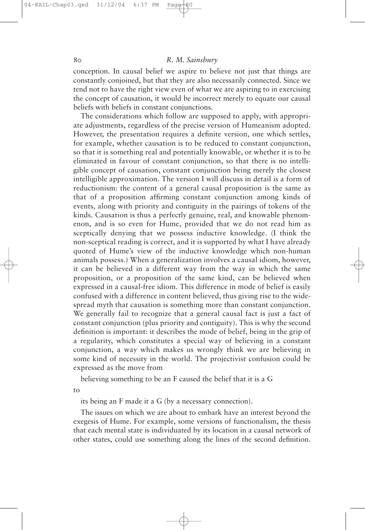conception. In causal belief we aspire to believe not just that things are constantly conjoined, but that they are also necessarily connected. Since we tend not to have the right view even of what we are aspiring to in exercising the concept of causation, it would be incorrect merely to equate our causal beliefs with beliefs in constant conjunctions.

The considerations which follow are supposed to apply, with appropriate adjustments, regardless of the precise version of Humeanism adopted. However, the presentation requires a definite version, one which settles, for example, whether causation is to be reduced to constant conjunction, so that it is something real and potentially knowable, or whether it is to be eliminated in favour of constant conjunction, so that there is no intelligible concept of causation, constant conjunction being merely the closest intelligible approximation. The version I will discuss in detail is a form of reductionism: the content of a general causal proposition is the same as that of a proposition affirming constant conjunction among kinds of events, along with priority and contiguity in the pairings of tokens of the kinds. Causation is thus a perfectly genuine, real, and knowable phenomenon, and is so even for Hume, provided that we do not read him as sceptically denying that we possess inductive knowledge. (I think the non-sceptical reading is correct, and it is supported by what I have already quoted of Hume's view of the inductive knowledge which non-human animals possess.) When a generalization involves a causal idiom, however, it can be believed in a different way from the way in which the same proposition, or a proposition of the same kind, can be believed when expressed in a causal-free idiom. This difference in mode of belief is easily confused with a difference in content believed, thus giving rise to the widespread myth that causation is something more than constant conjunction. We generally fail to recognize that a general causal fact is just a fact of constant conjunction (plus priority and contiguity). This is why the second definition is important: it describes the mode of belief, being in the grip of a regularity, which constitutes a special way of believing in a constant conjunction, a way which makes us wrongly think we are believing in some kind of necessity in the world. The projectivist confusion could be expressed as the move from

believing something to be an F caused the belief that it is a G

to

its being an F made it a G (by a necessary connection).

The issues on which we are about to embark have an interest beyond the exegesis of Hume. For example, some versions of functionalism, the thesis that each mental state is individuated by its location in a causal network of other states, could use something along the lines of the second definition.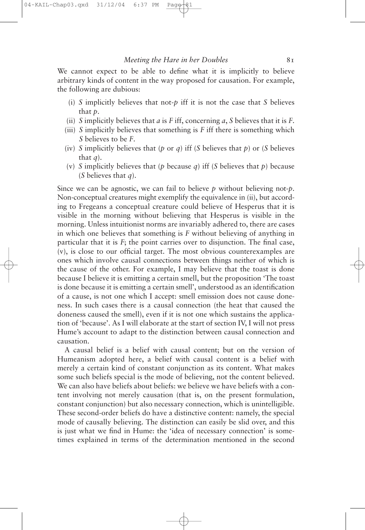We cannot expect to be able to define what it is implicitly to believe arbitrary kinds of content in the way proposed for causation. For example, the following are dubious:

- (i) *S* implicitly believes that not-*p* iff it is not the case that *S* believes that *p*.
- (ii) *S* implicitly believes that *a* is *F* iff, concerning *a*, *S* believes that it is *F*.
- (iii) *S* implicitly believes that something is *F* iff there is something which *S* believes to be *F*.
- (iv) *S* implicitly believes that (*p* or *q*) iff (*S* believes that *p*) or (*S* believes that  $q$ ).
- (v) *S* implicitly believes that (*p* because *q*) iff (*S* believes that *p*) because (*S* believes that *q*).

Since we can be agnostic, we can fail to believe *p* without believing not-*p*. Non-conceptual creatures might exemplify the equivalence in (ii), but according to Fregeans a conceptual creature could believe of Hesperus that it is visible in the morning without believing that Hesperus is visible in the morning. Unless intuitionist norms are invariably adhered to, there are cases in which one believes that something is *F* without believing of anything in particular that it is *F*; the point carries over to disjunction. The final case, (v), is close to our official target. The most obvious counterexamples are ones which involve causal connections between things neither of which is the cause of the other. For example, I may believe that the toast is done because I believe it is emitting a certain smell, but the proposition 'The toast is done because it is emitting a certain smell', understood as an identification of a cause, is not one which I accept: smell emission does not cause doneness. In such cases there is a causal connection (the heat that caused the doneness caused the smell), even if it is not one which sustains the application of 'because'. As I will elaborate at the start of section IV, I will not press Hume's account to adapt to the distinction between causal connection and causation.

A causal belief is a belief with causal content; but on the version of Humeanism adopted here, a belief with causal content is a belief with merely a certain kind of constant conjunction as its content. What makes some such beliefs special is the mode of believing, not the content believed. We can also have beliefs about beliefs: we believe we have beliefs with a content involving not merely causation (that is, on the present formulation, constant conjunction) but also necessary connection, which is unintelligible. These second-order beliefs do have a distinctive content: namely, the special mode of causally believing. The distinction can easily be slid over, and this is just what we find in Hume: the 'idea of necessary connection' is sometimes explained in terms of the determination mentioned in the second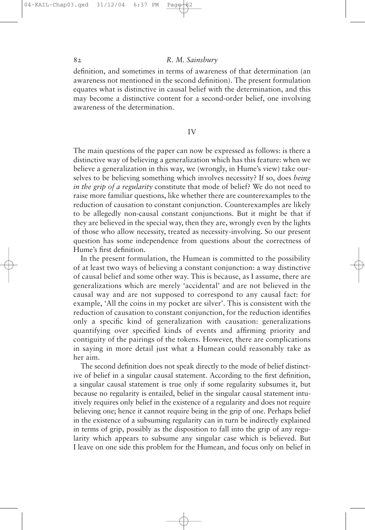definition, and sometimes in terms of awareness of that determination (an awareness not mentioned in the second definition). The present formulation equates what is distinctive in causal belief with the determination, and this may become a distinctive content for a second-order belief, one involving awareness of the determination.

# IV

The main questions of the paper can now be expressed as follows: is there a distinctive way of believing a generalization which has this feature: when we believe a generalization in this way, we (wrongly, in Hume's view) take ourselves to be believing something which involves necessity? If so, does *being in the grip of a regularity* constitute that mode of belief? We do not need to raise more familiar questions, like whether there are counterexamples to the reduction of causation to constant conjunction. Counterexamples are likely to be allegedly non-causal constant conjunctions. But it might be that if they are believed in the special way, then they are, wrongly even by the lights of those who allow necessity, treated as necessity-involving. So our present question has some independence from questions about the correctness of Hume's first definition.

In the present formulation, the Humean is committed to the possibility of at least two ways of believing a constant conjunction: a way distinctive of causal belief and some other way. This is because, as I assume, there are generalizations which are merely 'accidental' and are not believed in the causal way and are not supposed to correspond to any causal fact: for example, 'All the coins in my pocket are silver'. This is consistent with the reduction of causation to constant conjunction, for the reduction identifies only a specific kind of generalization with causation: generalizations quantifying over specified kinds of events and affirming priority and contiguity of the pairings of the tokens. However, there are complications in saying in more detail just what a Humean could reasonably take as her aim.

The second definition does not speak directly to the mode of belief distinctive of belief in a singular causal statement. According to the first definition, a singular causal statement is true only if some regularity subsumes it, but because no regularity is entailed, belief in the singular causal statement intuitively requires only belief in the existence of a regularity and does not require believing one; hence it cannot require being in the grip of one. Perhaps belief in the existence of a subsuming regularity can in turn be indirectly explained in terms of grip, possibly as the disposition to fall into the grip of any regularity which appears to subsume any singular case which is believed. But I leave on one side this problem for the Humean, and focus only on belief in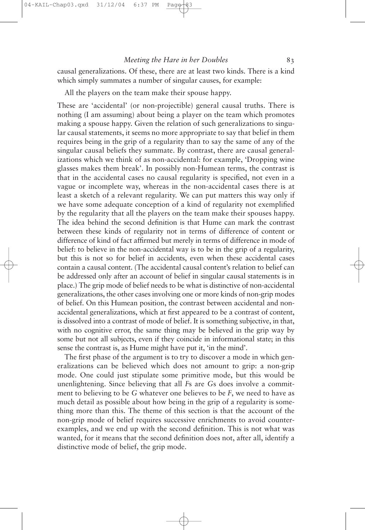causal generalizations. Of these, there are at least two kinds. There is a kind which simply summates a number of singular causes, for example:

All the players on the team make their spouse happy.

These are 'accidental' (or non-projectible) general causal truths. There is nothing (I am assuming) about being a player on the team which promotes making a spouse happy. Given the relation of such generalizations to singular causal statements, it seems no more appropriate to say that belief in them requires being in the grip of a regularity than to say the same of any of the singular causal beliefs they summate. By contrast, there are causal generalizations which we think of as non-accidental: for example, 'Dropping wine glasses makes them break'. In possibly non-Humean terms, the contrast is that in the accidental cases no causal regularity is specified, not even in a vague or incomplete way, whereas in the non-accidental cases there is at least a sketch of a relevant regularity. We can put matters this way only if we have some adequate conception of a kind of regularity not exemplified by the regularity that all the players on the team make their spouses happy. The idea behind the second definition is that Hume can mark the contrast between these kinds of regularity not in terms of difference of content or difference of kind of fact affirmed but merely in terms of difference in mode of belief: to believe in the non-accidental way is to be in the grip of a regularity, but this is not so for belief in accidents, even when these accidental cases contain a causal content. (The accidental causal content's relation to belief can be addressed only after an account of belief in singular causal statements is in place.) The grip mode of belief needs to be what is distinctive of non-accidental generalizations, the other cases involving one or more kinds of non-grip modes of belief. On this Humean position, the contrast between accidental and nonaccidental generalizations, which at first appeared to be a contrast of content, is dissolved into a contrast of mode of belief. It is something subjective, in that, with no cognitive error, the same thing may be believed in the grip way by some but not all subjects, even if they coincide in informational state; in this sense the contrast is, as Hume might have put it, 'in the mind'.

The first phase of the argument is to try to discover a mode in which generalizations can be believed which does not amount to grip: a non-grip mode. One could just stipulate some primitive mode, but this would be unenlightening. Since believing that all *F*s are *G*s does involve a commitment to believing to be *G* whatever one believes to be *F*, we need to have as much detail as possible about how being in the grip of a regularity is something more than this. The theme of this section is that the account of the non-grip mode of belief requires successive enrichments to avoid counterexamples, and we end up with the second definition. This is not what was wanted, for it means that the second definition does not, after all, identify a distinctive mode of belief, the grip mode.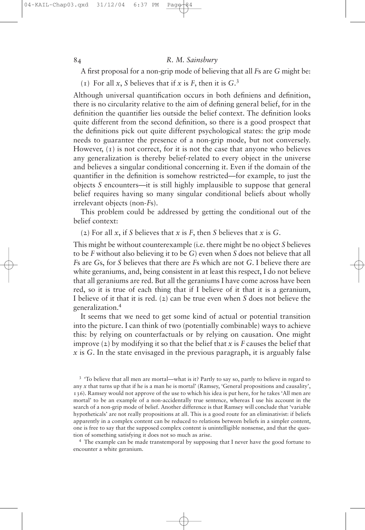A first proposal for a non-grip mode of believing that all *F*s are *G* might be:

(1) For all  $x$ ,  $S$  believes that if  $x$  is  $F$ , then it is  $G<sup>3</sup>$ .

Although universal quantification occurs in both definiens and definition, there is no circularity relative to the aim of defining general belief, for in the definition the quantifier lies outside the belief context. The definition looks quite different from the second definition, so there is a good prospect that the definitions pick out quite different psychological states: the grip mode needs to guarantee the presence of a non-grip mode, but not conversely. However,  $(I)$  is not correct, for it is not the case that anyone who believes any generalization is thereby belief-related to every object in the universe and believes a singular conditional concerning it. Even if the domain of the quantifier in the definition is somehow restricted—for example, to just the objects *S* encounters—it is still highly implausible to suppose that general belief requires having so many singular conditional beliefs about wholly irrelevant objects (non-*F*s).

This problem could be addressed by getting the conditional out of the belief context:

(2) For all *x*, if *S* believes that *x* is *F*, then *S* believes that *x* is *G*.

This might be without counterexample (i.e. there might be no object *S* believes to be *F* without also believing it to be *G*) even when *S* does not believe that all *F*s are *G*s, for *S* believes that there are *F*s which are not *G*. I believe there are white geraniums, and, being consistent in at least this respect, I do not believe that all geraniums are red. But all the geraniums I have come across have been red, so it is true of each thing that if I believe of it that it is a geranium, I believe of it that it is red. (2) can be true even when *S* does not believe the generalization.4

It seems that we need to get some kind of actual or potential transition into the picture. I can think of two (potentially combinable) ways to achieve this: by relying on counterfactuals or by relying on causation. One might improve (2) by modifying it so that the belief that *x* is *F* causes the belief that *x* is *G*. In the state envisaged in the previous paragraph, it is arguably false

<sup>4</sup> The example can be made transtemporal by supposing that I never have the good fortune to encounter a white geranium.

 $3 \text{ }$  To believe that all men are mortal—what is it? Partly to say so, partly to believe in regard to any *x* that turns up that if he is a man he is mortal' (Ramsey, 'General propositions and causality', 136). Ramsey would not approve of the use to which his idea is put here, for he takes 'All men are mortal' to be an example of a non-accidentally true sentence, whereas I use his account in the search of a non-grip mode of belief. Another difference is that Ramsey will conclude that 'variable hypotheticals' are not really propositions at all. This is a good route for an eliminativist: if beliefs apparently in a complex content can be reduced to relations between beliefs in a simpler content, one is free to say that the supposed complex content is unintelligible nonsense, and that the question of something satisfying it does not so much as arise.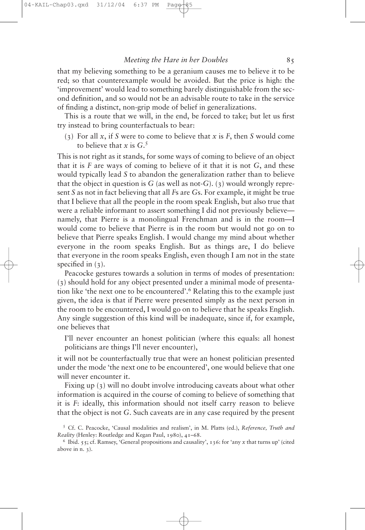04-KAIL-Chap03.qxd 31/12/04

that my believing something to be a geranium causes me to believe it to be red; so that counterexample would be avoided. But the price is high: the 'improvement' would lead to something barely distinguishable from the second definition, and so would not be an advisable route to take in the service of finding a distinct, non-grip mode of belief in generalizations.

This is a route that we will, in the end, be forced to take; but let us first try instead to bring counterfactuals to bear:

(3) For all *x*, if *S* were to come to believe that *x* is *F*, then *S* would come to believe that *x* is *G*. 5

This is not right as it stands, for some ways of coming to believe of an object that it is *F* are ways of coming to believe of it that it is not *G*, and these would typically lead *S* to abandon the generalization rather than to believe that the object in question is *G* (as well as not-*G*). (3) would wrongly represent *S* as not in fact believing that all *F*s are *G*s. For example, it might be true that I believe that all the people in the room speak English, but also true that were a reliable informant to assert something I did not previously believe namely, that Pierre is a monolingual Frenchman and is in the room—I would come to believe that Pierre is in the room but would not go on to believe that Pierre speaks English. I would change my mind about whether everyone in the room speaks English. But as things are, I do believe that everyone in the room speaks English, even though I am not in the state specified in  $(3)$ .

Peacocke gestures towards a solution in terms of modes of presentation: (3) should hold for any object presented under a minimal mode of presentation like 'the next one to be encountered'.<sup>6</sup> Relating this to the example just given, the idea is that if Pierre were presented simply as the next person in the room to be encountered, I would go on to believe that he speaks English. Any single suggestion of this kind will be inadequate, since if, for example, one believes that

I'll never encounter an honest politician (where this equals: all honest politicians are things I'll never encounter),

it will not be counterfactually true that were an honest politician presented under the mode 'the next one to be encountered', one would believe that one will never encounter it.

Fixing up (3) will no doubt involve introducing caveats about what other information is acquired in the course of coming to believe of something that it is *F*: ideally, this information should not itself carry reason to believe that the object is not *G*. Such caveats are in any case required by the present

<sup>6</sup> Ibid. 55; cf. Ramsey, 'General propositions and causality', 136: for 'any *x* that turns up' (cited above in n. 3).

<sup>5</sup> Cf. C. Peacocke, 'Causal modalities and realism', in M. Platts (ed.), *Reference, Truth and Reality* (Henley: Routledge and Kegan Paul, 1980), 41–68.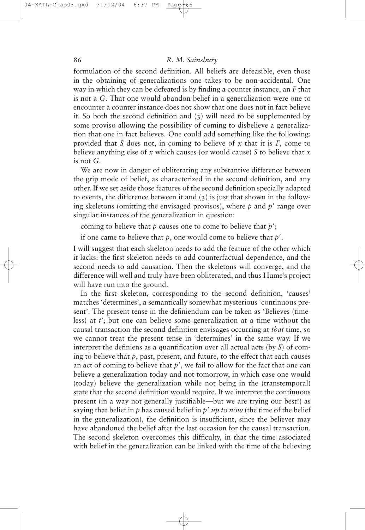formulation of the second definition. All beliefs are defeasible, even those in the obtaining of generalizations one takes to be non-accidental. One way in which they can be defeated is by finding a counter instance, an *F* that is not a *G*. That one would abandon belief in a generalization were one to encounter a counter instance does not show that one does not in fact believe it. So both the second definition and (3) will need to be supplemented by some proviso allowing the possibility of coming to disbelieve a generalization that one in fact believes. One could add something like the following: provided that *S* does not, in coming to believe of *x* that it is *F*, come to believe anything else of *x* which causes (or would cause) *S* to believe that *x* is not *G*.

We are now in danger of obliterating any substantive difference between the grip mode of belief, as characterized in the second definition, and any other. If we set aside those features of the second definition specially adapted to events, the difference between it and  $(3)$  is just that shown in the following skeletons (omitting the envisaged provisos), where  $p$  and  $p'$  range over singular instances of the generalization in question:

coming to believe that  $p$  causes one to come to believe that  $p'$ ;

if one came to believe that  $p$ , one would come to believe that  $p'$ .

I will suggest that each skeleton needs to add the feature of the other which it lacks: the first skeleton needs to add counterfactual dependence, and the second needs to add causation. Then the skeletons will converge, and the difference will well and truly have been obliterated, and thus Hume's project will have run into the ground.

In the first skeleton, corresponding to the second definition, 'causes' matches 'determines', a semantically somewhat mysterious 'continuous present'. The present tense in the definiendum can be taken as 'Believes (timeless) at *t*'; but one can believe some generalization at a time without the causal transaction the second definition envisages occurring at *that* time, so we cannot treat the present tense in 'determines' in the same way. If we interpret the definiens as a quantification over all actual acts (by *S*) of coming to believe that *p*, past, present, and future, to the effect that each causes an act of coming to believe that  $p'$ , we fail to allow for the fact that one can believe a generalization today and not tomorrow, in which case one would (today) believe the generalization while not being in the (transtemporal) state that the second definition would require. If we interpret the continuous present (in a way not generally justifiable—but we are trying our best!) as saying that belief in  $p$  has caused belief in  $p'$  *up to now (*the time of the belief in the generalization), the definition is insufficient, since the believer may have abandoned the belief after the last occasion for the causal transaction. The second skeleton overcomes this difficulty, in that the time associated with belief in the generalization can be linked with the time of the believing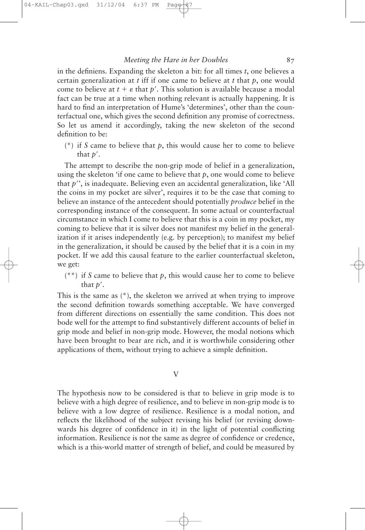$04 - KAIL-Chap03.axd$ 

certain generalization at *t* iff if one came to believe at *t* that *p*, one would come to believe at  $t + \varepsilon$  that  $p'$ . This solution is available because a modal fact can be true at a time when nothing relevant is actually happening. It is hard to find an interpretation of Hume's 'determines', other than the counterfactual one, which gives the second definition any promise of correctness. So let us amend it accordingly, taking the new skeleton of the second definition to be:

(\*) if *S* came to believe that *p*, this would cause her to come to believe that  $p'$ .

The attempt to describe the non-grip mode of belief in a generalization, using the skeleton 'if one came to believe that  $p$ , one would come to believe that p'', is inadequate. Believing even an accidental generalization, like 'All the coins in my pocket are silver', requires it to be the case that coming to believe an instance of the antecedent should potentially *produce* belief in the corresponding instance of the consequent. In some actual or counterfactual circumstance in which I come to believe that this is a coin in my pocket, my coming to believe that it is silver does not manifest my belief in the generalization if it arises independently (e.g. by perception); to manifest my belief in the generalization, it should be caused by the belief that it is a coin in my pocket. If we add this causal feature to the earlier counterfactual skeleton, we get:

(\*\*) if *S* came to believe that *p*, this would cause her to come to believe that  $p'$ .

This is the same as (\*), the skeleton we arrived at when trying to improve the second definition towards something acceptable. We have converged from different directions on essentially the same condition. This does not bode well for the attempt to find substantively different accounts of belief in grip mode and belief in non-grip mode. However, the modal notions which have been brought to bear are rich, and it is worthwhile considering other applications of them, without trying to achieve a simple definition.

The hypothesis now to be considered is that to believe in grip mode is to believe with a high degree of resilience, and to believe in non-grip mode is to believe with a low degree of resilience. Resilience is a modal notion, and reflects the likelihood of the subject revising his belief (or revising downwards his degree of confidence in it) in the light of potential conflicting information. Resilience is not the same as degree of confidence or credence, which is a this-world matter of strength of belief, and could be measured by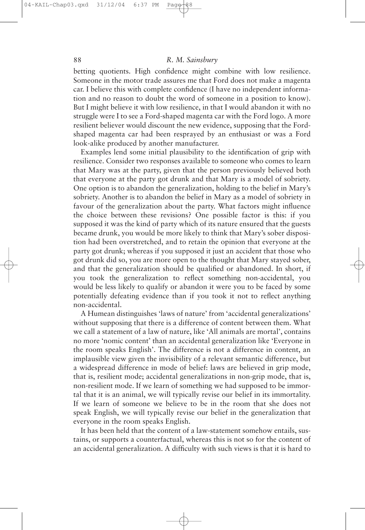betting quotients. High confidence might combine with low resilience. Someone in the motor trade assures me that Ford does not make a magenta car. I believe this with complete confidence (I have no independent information and no reason to doubt the word of someone in a position to know). But I might believe it with low resilience, in that I would abandon it with no struggle were I to see a Ford-shaped magenta car with the Ford logo. A more resilient believer would discount the new evidence, supposing that the Fordshaped magenta car had been resprayed by an enthusiast or was a Ford look-alike produced by another manufacturer.

Examples lend some initial plausibility to the identification of grip with resilience. Consider two responses available to someone who comes to learn that Mary was at the party, given that the person previously believed both that everyone at the party got drunk and that Mary is a model of sobriety. One option is to abandon the generalization, holding to the belief in Mary's sobriety. Another is to abandon the belief in Mary as a model of sobriety in favour of the generalization about the party. What factors might influence the choice between these revisions? One possible factor is this: if you supposed it was the kind of party which of its nature ensured that the guests became drunk, you would be more likely to think that Mary's sober disposition had been overstretched, and to retain the opinion that everyone at the party got drunk; whereas if you supposed it just an accident that those who got drunk did so, you are more open to the thought that Mary stayed sober, and that the generalization should be qualified or abandoned. In short, if you took the generalization to reflect something non-accidental, you would be less likely to qualify or abandon it were you to be faced by some potentially defeating evidence than if you took it not to reflect anything non-accidental.

A Humean distinguishes 'laws of nature' from 'accidental generalizations' without supposing that there is a difference of content between them. What we call a statement of a law of nature, like 'All animals are mortal', contains no more 'nomic content' than an accidental generalization like 'Everyone in the room speaks English'. The difference is not a difference in content, an implausible view given the invisibility of a relevant semantic difference, but a widespread difference in mode of belief: laws are believed in grip mode, that is, resilient mode; accidental generalizations in non-grip mode, that is, non-resilient mode. If we learn of something we had supposed to be immortal that it is an animal, we will typically revise our belief in its immortality. If we learn of someone we believe to be in the room that she does not speak English, we will typically revise our belief in the generalization that everyone in the room speaks English.

It has been held that the content of a law-statement somehow entails, sustains, or supports a counterfactual, whereas this is not so for the content of an accidental generalization. A difficulty with such views is that it is hard to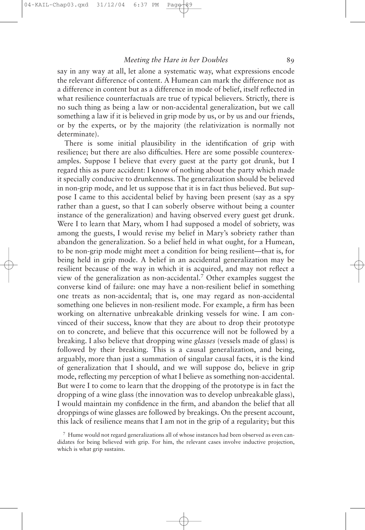say in any way at all, let alone a systematic way, what expressions encode the relevant difference of content. A Humean can mark the difference not as a difference in content but as a difference in mode of belief, itself reflected in what resilience counterfactuals are true of typical believers. Strictly, there is no such thing as being a law or non-accidental generalization, but we call something a law if it is believed in grip mode by us, or by us and our friends, or by the experts, or by the majority (the relativization is normally not determinate).

There is some initial plausibility in the identification of grip with resilience; but there are also difficulties. Here are some possible counterexamples. Suppose I believe that every guest at the party got drunk, but I regard this as pure accident: I know of nothing about the party which made it specially conducive to drunkenness. The generalization should be believed in non-grip mode, and let us suppose that it is in fact thus believed. But suppose I came to this accidental belief by having been present (say as a spy rather than a guest, so that I can soberly observe without being a counter instance of the generalization) and having observed every guest get drunk. Were I to learn that Mary, whom I had supposed a model of sobriety, was among the guests, I would revise my belief in Mary's sobriety rather than abandon the generalization. So a belief held in what ought, for a Humean, to be non-grip mode might meet a condition for being resilient—that is, for being held in grip mode. A belief in an accidental generalization may be resilient because of the way in which it is acquired, and may not reflect a view of the generalization as non-accidental.<sup>7</sup> Other examples suggest the converse kind of failure: one may have a non-resilient belief in something one treats as non-accidental; that is, one may regard as non-accidental something one believes in non-resilient mode. For example, a firm has been working on alternative unbreakable drinking vessels for wine. I am convinced of their success, know that they are about to drop their prototype on to concrete, and believe that this occurrence will not be followed by a breaking. I also believe that dropping wine *glasses* (vessels made of glass) is followed by their breaking. This is a causal generalization, and being, arguably, more than just a summation of singular causal facts, it is the kind of generalization that I should, and we will suppose do, believe in grip mode, reflecting my perception of what I believe as something non-accidental. But were I to come to learn that the dropping of the prototype is in fact the dropping of a wine glass (the innovation was to develop unbreakable glass), I would maintain my confidence in the firm, and abandon the belief that all droppings of wine glasses are followed by breakings. On the present account, this lack of resilience means that I am not in the grip of a regularity; but this

<sup>7</sup> Hume would not regard generalizations all of whose instances had been observed as even candidates for being believed with grip. For him, the relevant cases involve inductive projection, which is what grip sustains.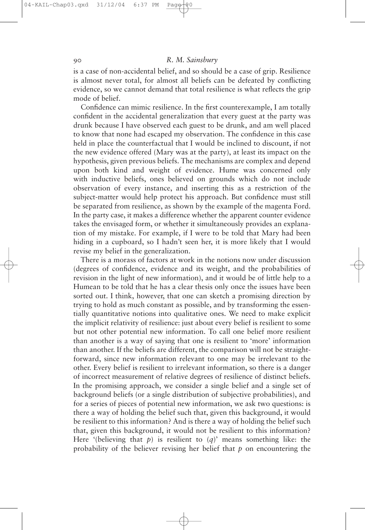is a case of non-accidental belief, and so should be a case of grip. Resilience is almost never total, for almost all beliefs can be defeated by conflicting evidence, so we cannot demand that total resilience is what reflects the grip mode of belief.

Confidence can mimic resilience. In the first counterexample, I am totally confident in the accidental generalization that every guest at the party was drunk because I have observed each guest to be drunk, and am well placed to know that none had escaped my observation. The confidence in this case held in place the counterfactual that I would be inclined to discount, if not the new evidence offered (Mary was at the party), at least its impact on the hypothesis, given previous beliefs. The mechanisms are complex and depend upon both kind and weight of evidence. Hume was concerned only with inductive beliefs, ones believed on grounds which do not include observation of every instance, and inserting this as a restriction of the subject-matter would help protect his approach. But confidence must still be separated from resilience, as shown by the example of the magenta Ford. In the party case, it makes a difference whether the apparent counter evidence takes the envisaged form, or whether it simultaneously provides an explanation of my mistake. For example, if I were to be told that Mary had been hiding in a cupboard, so I hadn't seen her, it is more likely that I would revise my belief in the generalization.

There is a morass of factors at work in the notions now under discussion (degrees of confidence, evidence and its weight, and the probabilities of revision in the light of new information), and it would be of little help to a Humean to be told that he has a clear thesis only once the issues have been sorted out. I think, however, that one can sketch a promising direction by trying to hold as much constant as possible, and by transforming the essentially quantitative notions into qualitative ones. We need to make explicit the implicit relativity of resilience: just about every belief is resilient to some but not other potential new information. To call one belief more resilient than another is a way of saying that one is resilient to 'more' information than another. If the beliefs are different, the comparison will not be straightforward, since new information relevant to one may be irrelevant to the other. Every belief is resilient to irrelevant information, so there is a danger of incorrect measurement of relative degrees of resilience of distinct beliefs. In the promising approach, we consider a single belief and a single set of background beliefs (or a single distribution of subjective probabilities), and for a series of pieces of potential new information, we ask two questions: is there a way of holding the belief such that, given this background, it would be resilient to this information? And is there a way of holding the belief such that, given this background, it would not be resilient to this information? Here '(believing that  $p$ ) is resilient to  $(q)$ ' means something like: the probability of the believer revising her belief that *p* on encountering the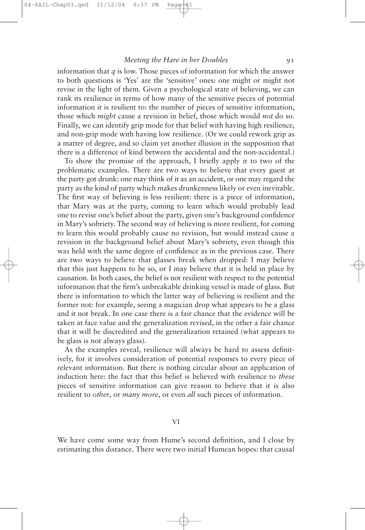information that *q* is low. Those pieces of information for which the answer to both questions is 'Yes' are the 'sensitive' ones: one might or might not revise in the light of them. Given a psychological state of believing, we can rank its resilience in terms of how many of the sensitive pieces of potential information it is resilient to: the number of pieces of sensitive information, those which *might* cause a revision in belief, those which would *not* do so. Finally, we can identify grip mode for that belief with having high resilience, and non-grip mode with having low resilience. (Or we could rework grip as a matter of degree, and so claim yet another illusion in the supposition that there is a difference of kind between the accidental and the non-accidental.)

To show the promise of the approach, I briefly apply it to two of the problematic examples. There are two ways to believe that every guest at the party got drunk: one may think of it as an accident, or one may regard the party as the kind of party which makes drunkenness likely or even inevitable. The first way of believing is less resilient: there is a piece of information, that Mary was at the party, coming to learn which would probably lead one to revise one's belief about the party, given one's background confidence in Mary's sobriety. The second way of believing is more resilient, for coming to learn this would probably cause no revision, but would instead cause a revision in the background belief about Mary's sobriety, even though this was held with the same degree of confidence as in the previous case. There are two ways to believe that glasses break when dropped: I may believe that this just happens to be so, or I may believe that it is held in place by causation. In both cases, the belief is not resilient with respect to the potential information that the firm's unbreakable drinking vessel is made of glass. But there is information to which the latter way of believing is resilient and the former not: for example, seeing a magician drop what appears to be a glass and it not break. In one case there is a fair chance that the evidence will be taken at face value and the generalization revised, in the other a fair chance that it will be discredited and the generalization retained (what appears to be glass is not always glass).

As the examples reveal, resilience will always be hard to assess definitively, for it involves consideration of potential responses to every piece of relevant information. But there is nothing circular about an application of induction here: the fact that this belief is believed with resilience to *these* pieces of sensitive information can give reason to believe that it is also resilient to *other*, or *many more*, or even *all* such pieces of information.

VI

We have come some way from Hume's second definition, and I close by estimating this distance. There were two initial Humean hopes: that causal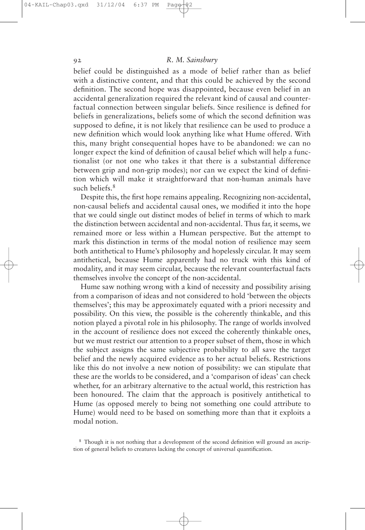belief could be distinguished as a mode of belief rather than as belief with a distinctive content, and that this could be achieved by the second definition. The second hope was disappointed, because even belief in an accidental generalization required the relevant kind of causal and counterfactual connection between singular beliefs. Since resilience is defined for beliefs in generalizations, beliefs some of which the second definition was supposed to define, it is not likely that resilience can be used to produce a new definition which would look anything like what Hume offered. With this, many bright consequential hopes have to be abandoned: we can no longer expect the kind of definition of causal belief which will help a functionalist (or not one who takes it that there is a substantial difference between grip and non-grip modes); nor can we expect the kind of definition which will make it straightforward that non-human animals have such beliefs.<sup>8</sup>

Despite this, the first hope remains appealing. Recognizing non-accidental, non-causal beliefs and accidental causal ones, we modified it into the hope that we could single out distinct modes of belief in terms of which to mark the distinction between accidental and non-accidental. Thus far, it seems, we remained more or less within a Humean perspective. But the attempt to mark this distinction in terms of the modal notion of resilience may seem both antithetical to Hume's philosophy and hopelessly circular. It may seem antithetical, because Hume apparently had no truck with this kind of modality, and it may seem circular, because the relevant counterfactual facts themselves involve the concept of the non-accidental.

Hume saw nothing wrong with a kind of necessity and possibility arising from a comparison of ideas and not considered to hold 'between the objects themselves'; this may be approximately equated with a priori necessity and possibility. On this view, the possible is the coherently thinkable, and this notion played a pivotal role in his philosophy. The range of worlds involved in the account of resilience does not exceed the coherently thinkable ones, but we must restrict our attention to a proper subset of them, those in which the subject assigns the same subjective probability to all save the target belief and the newly acquired evidence as to her actual beliefs. Restrictions like this do not involve a new notion of possibility: we can stipulate that these are the worlds to be considered, and a 'comparison of ideas' can check whether, for an arbitrary alternative to the actual world, this restriction has been honoured. The claim that the approach is positively antithetical to Hume (as opposed merely to being not something one could attribute to Hume) would need to be based on something more than that it exploits a modal notion.

<sup>8</sup> Though it is not nothing that a development of the second definition will ground an ascription of general beliefs to creatures lacking the concept of universal quantification.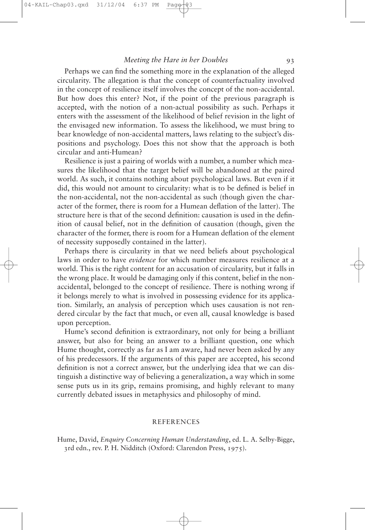Perhaps we can find the something more in the explanation of the alleged circularity. The allegation is that the concept of counterfactuality involved in the concept of resilience itself involves the concept of the non-accidental. But how does this enter? Not, if the point of the previous paragraph is accepted, with the notion of a non-actual possibility as such. Perhaps it enters with the assessment of the likelihood of belief revision in the light of the envisaged new information. To assess the likelihood, we must bring to bear knowledge of non-accidental matters, laws relating to the subject's dispositions and psychology. Does this not show that the approach is both circular and anti-Humean?

Resilience is just a pairing of worlds with a number, a number which measures the likelihood that the target belief will be abandoned at the paired world. As such, it contains nothing about psychological laws. But even if it did, this would not amount to circularity: what is to be defined is belief in the non-accidental, not the non-accidental as such (though given the character of the former, there is room for a Humean deflation of the latter). The structure here is that of the second definition: causation is used in the definition of causal belief, not in the definition of causation (though, given the character of the former, there is room for a Humean deflation of the element of necessity supposedly contained in the latter).

Perhaps there is circularity in that we need beliefs about psychological laws in order to have *evidence* for which number measures resilience at a world. This is the right content for an accusation of circularity, but it falls in the wrong place. It would be damaging only if this content, belief in the nonaccidental, belonged to the concept of resilience. There is nothing wrong if it belongs merely to what is involved in possessing evidence for its application. Similarly, an analysis of perception which uses causation is not rendered circular by the fact that much, or even all, causal knowledge is based upon perception.

Hume's second definition is extraordinary, not only for being a brilliant answer, but also for being an answer to a brilliant question, one which Hume thought, correctly as far as I am aware, had never been asked by any of his predecessors. If the arguments of this paper are accepted, his second definition is not a correct answer, but the underlying idea that we can distinguish a distinctive way of believing a generalization, a way which in some sense puts us in its grip, remains promising, and highly relevant to many currently debated issues in metaphysics and philosophy of mind.

# REFERENCES

Hume, David, *Enquiry Concerning Human Understanding*, ed. L. A. Selby-Bigge, 3rd edn., rev. P. H. Nidditch (Oxford: Clarendon Press, 1975).